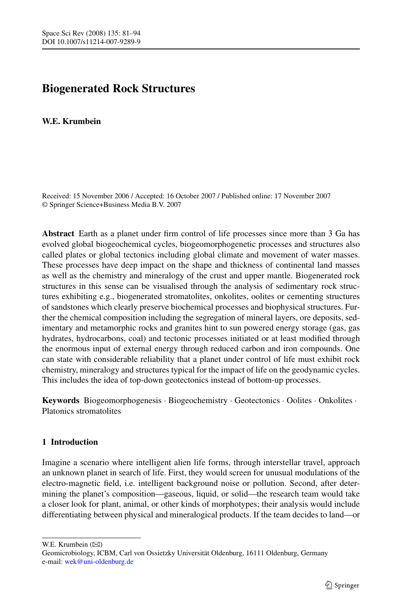# **Biogenerated Rock Structures**

# **W.E. Krumbein**

Received: 15 November 2006 / Accepted: 16 October 2007 / Published online: 17 November 2007 © Springer Science+Business Media B.V. 2007

**Abstract** Earth as a planet under firm control of life processes since more than 3 Ga has evolved global biogeochemical cycles, biogeomorphogenetic processes and structures also called plates or global tectonics including global climate and movement of water masses. These processes have deep impact on the shape and thickness of continental land masses as well as the chemistry and mineralogy of the crust and upper mantle. Biogenerated rock structures in this sense can be visualised through the analysis of sedimentary rock structures exhibiting e.g., biogenerated stromatolites, onkolites, oolites or cementing structures of sandstones which clearly preserve biochemical processes and biophysical structures. Further the chemical composition including the segregation of mineral layers, ore deposits, sedimentary and metamorphic rocks and granites hint to sun powered energy storage (gas, gas hydrates, hydrocarbons, coal) and tectonic processes initiated or at least modified through the enormous input of external energy through reduced carbon and iron compounds. One can state with considerable reliability that a planet under control of life must exhibit rock chemistry, mineralogy and structures typical for the impact of life on the geodynamic cycles. This includes the idea of top-down geotectonics instead of bottom-up processes.

**Keywords** Biogeomorphogenesis · Biogeochemistry · Geotectonics · Oolites · Onkolites · Platonics stromatolites

# **1 Introduction**

Imagine a scenario where intelligent alien life forms, through interstellar travel, approach an unknown planet in search of life. First, they would screen for unusual modulations of the electro-magnetic field, i.e. intelligent background noise or pollution. Second, after determining the planet's composition—gaseous, liquid, or solid—the research team would take a closer look for plant, animal, or other kinds of morphotypes; their analysis would include differentiating between physical and mineralogical products. If the team decides to land—or

W.E. Krumbein  $(\boxtimes)$ 

Geomicrobiology, ICBM, Carl von Ossietzky Universität Oldenburg, 16111 Oldenburg, Germany e-mail: [wek@uni-oldenburg.de](mailto:wek@uni-oldenburg.de)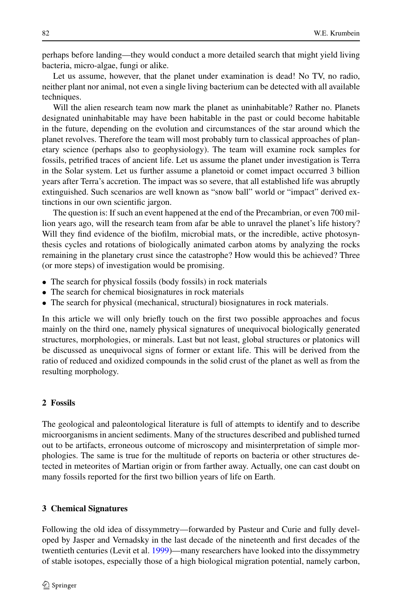perhaps before landing—they would conduct a more detailed search that might yield living bacteria, micro-algae, fungi or alike.

Let us assume, however, that the planet under examination is dead! No TV, no radio, neither plant nor animal, not even a single living bacterium can be detected with all available techniques.

Will the alien research team now mark the planet as uninhabitable? Rather no. Planets designated uninhabitable may have been habitable in the past or could become habitable in the future, depending on the evolution and circumstances of the star around which the planet revolves. Therefore the team will most probably turn to classical approaches of planetary science (perhaps also to geophysiology). The team will examine rock samples for fossils, petrified traces of ancient life. Let us assume the planet under investigation is Terra in the Solar system. Let us further assume a planetoid or comet impact occurred 3 billion years after Terra's accretion. The impact was so severe, that all established life was abruptly extinguished. Such scenarios are well known as "snow ball" world or "impact" derived extinctions in our own scientific jargon.

The question is: If such an event happened at the end of the Precambrian, or even 700 million years ago, will the research team from afar be able to unravel the planet's life history? Will they find evidence of the biofilm, microbial mats, or the incredible, active photosynthesis cycles and rotations of biologically animated carbon atoms by analyzing the rocks remaining in the planetary crust since the catastrophe? How would this be achieved? Three (or more steps) of investigation would be promising.

- The search for physical fossils (body fossils) in rock materials
- The search for chemical biosignatures in rock materials
- The search for physical (mechanical, structural) biosignatures in rock materials.

In this article we will only briefly touch on the first two possible approaches and focus mainly on the third one, namely physical signatures of unequivocal biologically generated structures, morphologies, or minerals. Last but not least, global structures or platonics will be discussed as unequivocal signs of former or extant life. This will be derived from the ratio of reduced and oxidized compounds in the solid crust of the planet as well as from the resulting morphology.

## **2 Fossils**

The geological and paleontological literature is full of attempts to identify and to describe microorganisms in ancient sediments. Many of the structures described and published turned out to be artifacts, erroneous outcome of microscopy and misinterpretation of simple morphologies. The same is true for the multitude of reports on bacteria or other structures detected in meteorites of Martian origin or from farther away. Actually, one can cast doubt on many fossils reported for the first two billion years of life on Earth.

## **3 Chemical Signatures**

Following the old idea of dissymmetry—forwarded by Pasteur and Curie and fully developed by Jasper and Vernadsky in the last decade of the nineteenth and first decades of the twentieth centuries (Levit et al. [1999\)](#page-12-0)—many researchers have looked into the dissymmetry of stable isotopes, especially those of a high biological migration potential, namely carbon,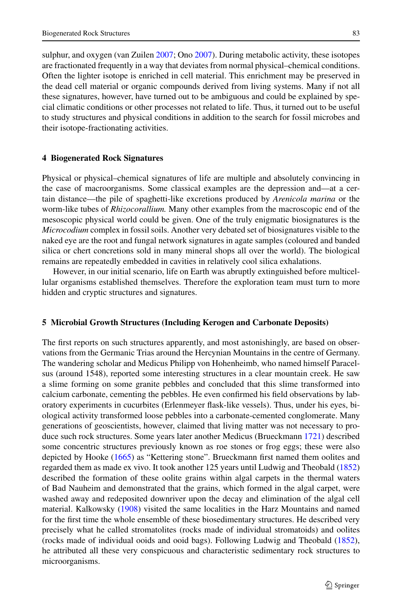sulphur, and oxygen (van Zuilen [2007;](#page-13-0) Ono [2007\)](#page-12-0). During metabolic activity, these isotopes are fractionated frequently in a way that deviates from normal physical–chemical conditions. Often the lighter isotope is enriched in cell material. This enrichment may be preserved in the dead cell material or organic compounds derived from living systems. Many if not all these signatures, however, have turned out to be ambiguous and could be explained by special climatic conditions or other processes not related to life. Thus, it turned out to be useful to study structures and physical conditions in addition to the search for fossil microbes and their isotope-fractionating activities.

## **4 Biogenerated Rock Signatures**

Physical or physical–chemical signatures of life are multiple and absolutely convincing in the case of macroorganisms. Some classical examples are the depression and—at a certain distance—the pile of spaghetti-like excretions produced by *Arenicola marina* or the worm-like tubes of *Rhizocorallium.* Many other examples from the macroscopic end of the mesoscopic physical world could be given. One of the truly enigmatic biosignatures is the *Microcodium* complex in fossil soils. Another very debated set of biosignatures visible to the naked eye are the root and fungal network signatures in agate samples (coloured and banded silica or chert concretions sold in many mineral shops all over the world). The biological remains are repeatedly embedded in cavities in relatively cool silica exhalations.

However, in our initial scenario, life on Earth was abruptly extinguished before multicellular organisms established themselves. Therefore the exploration team must turn to more hidden and cryptic structures and signatures.

#### **5 Microbial Growth Structures (Including Kerogen and Carbonate Deposits)**

The first reports on such structures apparently, and most astonishingly, are based on observations from the Germanic Trias around the Hercynian Mountains in the centre of Germany. The wandering scholar and Medicus Philipp von Hohenheimb, who named himself Paracelsus (around 1548), reported some interesting structures in a clear mountain creek. He saw a slime forming on some granite pebbles and concluded that this slime transformed into calcium carbonate, cementing the pebbles. He even confirmed his field observations by laboratory experiments in cucurbites (Erlenmeyer flask-like vessels). Thus, under his eyes, biological activity transformed loose pebbles into a carbonate-cemented conglomerate. Many generations of geoscientists, however, claimed that living matter was not necessary to produce such rock structures. Some years later another Medicus (Brueckmann [1721\)](#page-12-0) described some concentric structures previously known as roe stones or frog eggs; these were also depicted by Hooke [\(1665\)](#page-12-0) as "Kettering stone". Brueckmann first named them oolites and regarded them as made ex vivo. It took another 125 years until Ludwig and Theobald [\(1852](#page-12-0)) described the formation of these oolite grains within algal carpets in the thermal waters of Bad Nauheim and demonstrated that the grains, which formed in the algal carpet, were washed away and redeposited downriver upon the decay and elimination of the algal cell material. Kalkowsky [\(1908](#page-12-0)) visited the same localities in the Harz Mountains and named for the first time the whole ensemble of these biosedimentary structures. He described very precisely what he called stromatolites (rocks made of individual stromatoids) and oolites (rocks made of individual ooids and ooid bags). Following Ludwig and Theobald [\(1852](#page-12-0)), he attributed all these very conspicuous and characteristic sedimentary rock structures to microorganisms.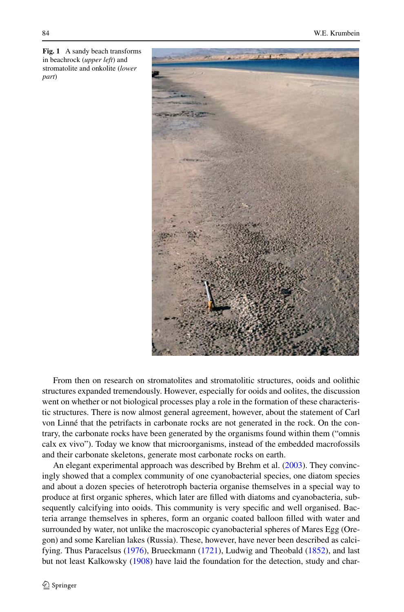



From then on research on stromatolites and stromatolitic structures, ooids and oolithic structures expanded tremendously. However, especially for ooids and oolites, the discussion went on whether or not biological processes play a role in the formation of these characteristic structures. There is now almost general agreement, however, about the statement of Carl von Linné that the petrifacts in carbonate rocks are not generated in the rock. On the contrary, the carbonate rocks have been generated by the organisms found within them ("omnis calx ex vivo"). Today we know that microorganisms, instead of the embedded macrofossils and their carbonate skeletons, generate most carbonate rocks on earth.

<span id="page-3-0"></span>An elegant experimental approach was described by Brehm et al. [\(2003](#page-12-0)). They convincingly showed that a complex community of one cyanobacterial species, one diatom species and about a dozen species of heterotroph bacteria organise themselves in a special way to produce at first organic spheres, which later are filled with diatoms and cyanobacteria, subsequently calcifying into ooids. This community is very specific and well organised. Bacteria arrange themselves in spheres, form an organic coated balloon filled with water and surrounded by water, not unlike the macroscopic cyanobacterial spheres of Mares Egg (Oregon) and some Karelian lakes (Russia). These, however, have never been described as calcifying. Thus Paracelsus ([1976\)](#page-12-0), Brueckmann ([1721\)](#page-12-0), Ludwig and Theobald [\(1852](#page-12-0)), and last but not least Kalkowsky [\(1908](#page-12-0)) have laid the foundation for the detection, study and char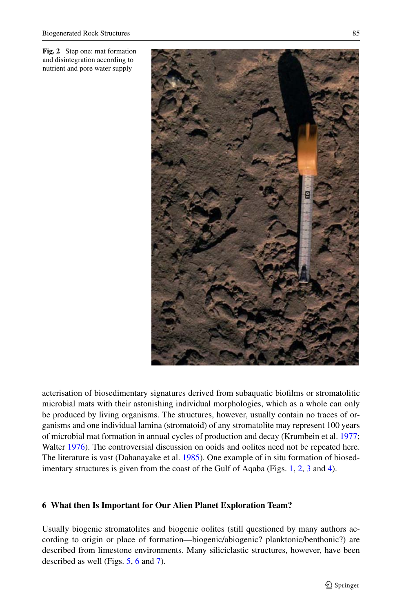**Fig. 2** Step one: mat formation and disintegration according to nutrient and pore water supply



acterisation of biosedimentary signatures derived from subaquatic biofilms or stromatolitic microbial mats with their astonishing individual morphologies, which as a whole can only be produced by living organisms. The structures, however, usually contain no traces of organisms and one individual lamina (stromatoid) of any stromatolite may represent 100 years of microbial mat formation in annual cycles of production and decay (Krumbein et al. [1977;](#page-12-0) Walter [1976](#page-13-0)). The controversial discussion on ooids and oolites need not be repeated here. The literature is vast (Dahanayake et al. [1985](#page-12-0)). One example of in situ formation of biosedimentary structures is given from the coast of the Gulf of Aqaba (Figs. [1](#page-3-0), [2,](#page-4-0) [3](#page-5-0) and [4](#page-6-0)).

# **6 What then Is Important for Our Alien Planet Exploration Team?**

<span id="page-4-0"></span>Usually biogenic stromatolites and biogenic oolites (still questioned by many authors according to origin or place of formation—biogenic/abiogenic? planktonic/benthonic?) are described from limestone environments. Many siliciclastic structures, however, have been described as well (Figs. [5](#page-7-0), [6](#page-8-0) and [7\)](#page-9-0).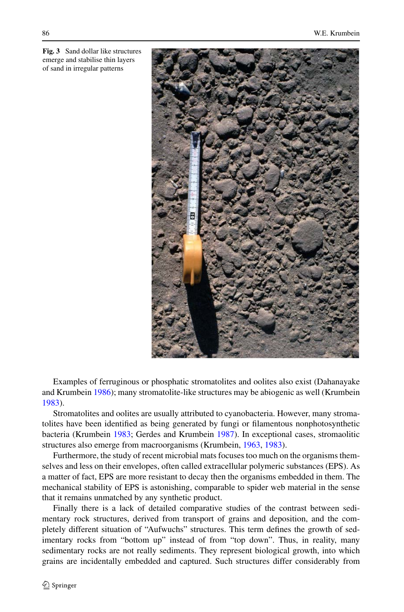**Fig. 3** Sand dollar like structures emerge and stabilise thin layers of sand in irregular patterns



Examples of ferruginous or phosphatic stromatolites and oolites also exist (Dahanayake and Krumbein [1986\)](#page-12-0); many stromatolite-like structures may be abiogenic as well (Krumbein [1983\)](#page-12-0).

Stromatolites and oolites are usually attributed to cyanobacteria. However, many stromatolites have been identified as being generated by fungi or filamentous nonphotosynthetic bacteria (Krumbein [1983](#page-12-0); Gerdes and Krumbein [1987\)](#page-12-0). In exceptional cases, stromaolitic structures also emerge from macroorganisms (Krumbein, [1963](#page-12-0), [1983\)](#page-12-0).

Furthermore, the study of recent microbial mats focuses too much on the organisms themselves and less on their envelopes, often called extracellular polymeric substances (EPS). As a matter of fact, EPS are more resistant to decay then the organisms embedded in them. The mechanical stability of EPS is astonishing, comparable to spider web material in the sense that it remains unmatched by any synthetic product.

<span id="page-5-0"></span>Finally there is a lack of detailed comparative studies of the contrast between sedimentary rock structures, derived from transport of grains and deposition, and the completely different situation of "Aufwuchs" structures. This term defines the growth of sedimentary rocks from "bottom up" instead of from "top down". Thus, in reality, many sedimentary rocks are not really sediments. They represent biological growth, into which grains are incidentally embedded and captured. Such structures differ considerably from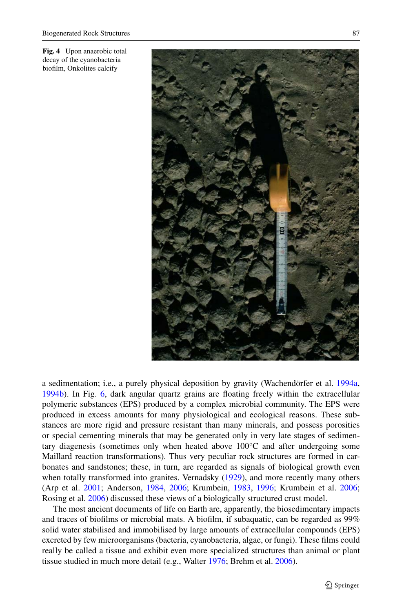**Fig. 4** Upon anaerobic total decay of the cyanobacteria biofilm, Onkolites calcify



a sedimentation; i.e., a purely physical deposition by gravity (Wachendörfer et al. [1994a](#page-13-0), [1994b](#page-13-0)). In Fig. [6,](#page-8-0) dark angular quartz grains are floating freely within the extracellular polymeric substances (EPS) produced by a complex microbial community. The EPS were produced in excess amounts for many physiological and ecological reasons. These substances are more rigid and pressure resistant than many minerals, and possess porosities or special cementing minerals that may be generated only in very late stages of sedimentary diagenesis (sometimes only when heated above 100°C and after undergoing some Maillard reaction transformations). Thus very peculiar rock structures are formed in carbonates and sandstones; these, in turn, are regarded as signals of biological growth even when totally transformed into granites. Vernadsky [\(1929](#page-12-0)), and more recently many others (Arp et al. [2001;](#page-12-0) Anderson, [1984](#page-11-0), [2006](#page-12-0); Krumbein, [1983,](#page-12-0) [1996;](#page-12-0) Krumbein et al. [2006;](#page-12-0) Rosing et al. [2006\)](#page-12-0) discussed these views of a biologically structured crust model.

<span id="page-6-0"></span>The most ancient documents of life on Earth are, apparently, the biosedimentary impacts and traces of biofilms or microbial mats. A biofilm, if subaquatic, can be regarded as 99% solid water stabilised and immobilised by large amounts of extracellular compounds (EPS) excreted by few microorganisms (bacteria, cyanobacteria, algae, or fungi). These films could really be called a tissue and exhibit even more specialized structures than animal or plant tissue studied in much more detail (e.g., Walter [1976;](#page-13-0) Brehm et al. [2006](#page-12-0)).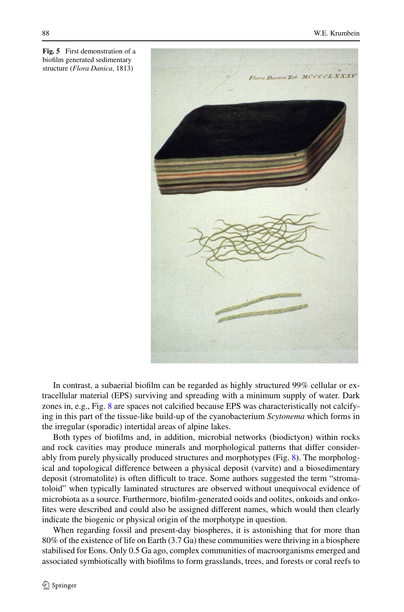

**Fig. 5** First demonstration of a biofilm generated sedimentary structure (*Flora Danica*, 1813)

In contrast, a subaerial biofilm can be regarded as highly structured 99% cellular or extracellular material (EPS) surviving and spreading with a minimum supply of water. Dark zones in, e.g., Fig. [8](#page-10-0) are spaces not calcified because EPS was characteristically not calcifying in this part of the tissue-like build-up of the cyanobacterium *Scytonema* which forms in the irregular (sporadic) intertidal areas of alpine lakes.

Both types of biofilms and, in addition, microbial networks (biodictyon) within rocks and rock cavities may produce minerals and morphological patterns that differ considerably from purely physically produced structures and morphotypes (Fig. [8](#page-10-0)). The morphological and topological difference between a physical deposit (varvite) and a biosedimentary deposit (stromatolite) is often difficult to trace. Some authors suggested the term "stromatoloid" when typically laminated structures are observed without unequivocal evidence of microbiota as a source. Furthermore, biofilm-generated ooids and oolites, onkoids and onkolites were described and could also be assigned different names, which would then clearly indicate the biogenic or physical origin of the morphotype in question.

<span id="page-7-0"></span>When regarding fossil and present-day biospheres, it is astonishing that for more than 80% of the existence of life on Earth (3.7 Ga) these communities were thriving in a biosphere stabilised for Eons. Only 0.5 Ga ago, complex communities of macroorganisms emerged and associated symbiotically with biofilms to form grasslands, trees, and forests or coral reefs to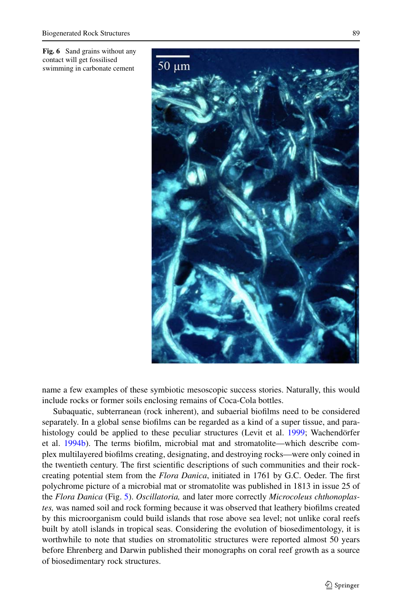**Fig. 6** Sand grains without any contact will get fossilised swimming in carbonate cement



name a few examples of these symbiotic mesoscopic success stories. Naturally, this would include rocks or former soils enclosing remains of Coca-Cola bottles.

<span id="page-8-0"></span>Subaquatic, subterranean (rock inherent), and subaerial biofilms need to be considered separately. In a global sense biofilms can be regarded as a kind of a super tissue, and parahistology could be applied to these peculiar structures (Levit et al. [1999;](#page-12-0) Wachendörfer et al. [1994b](#page-13-0)). The terms biofilm, microbial mat and stromatolite—which describe complex multilayered biofilms creating, designating, and destroying rocks—were only coined in the twentieth century. The first scientific descriptions of such communities and their rockcreating potential stem from the *Flora Danica*, initiated in 1761 by G.C. Oeder. The first polychrome picture of a microbial mat or stromatolite was published in 1813 in issue 25 of the *Flora Danica* (Fig. [5\)](#page-7-0). *Oscillatoria,* and later more correctly *Microcoleus chthonoplastes,* was named soil and rock forming because it was observed that leathery biofilms created by this microorganism could build islands that rose above sea level; not unlike coral reefs built by atoll islands in tropical seas. Considering the evolution of biosedimentology, it is worthwhile to note that studies on stromatolitic structures were reported almost 50 years before Ehrenberg and Darwin published their monographs on coral reef growth as a source of biosedimentary rock structures.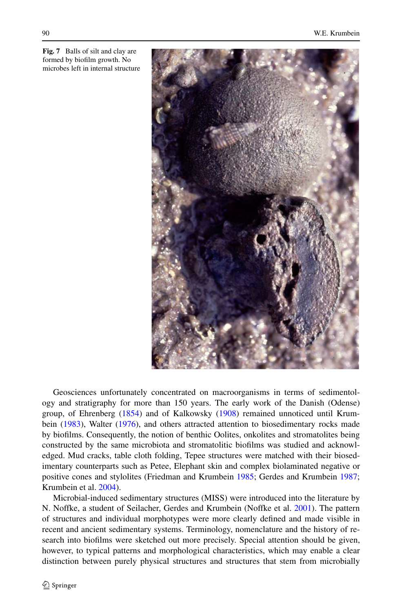**Fig. 7** Balls of silt and clay are formed by biofilm growth. No microbes left in internal structure



Geosciences unfortunately concentrated on macroorganisms in terms of sedimentology and stratigraphy for more than 150 years. The early work of the Danish (Odense) group, of Ehrenberg ([1854\)](#page-12-0) and of Kalkowsky [\(1908](#page-12-0)) remained unnoticed until Krumbein ([1983\)](#page-12-0), Walter ([1976\)](#page-13-0), and others attracted attention to biosedimentary rocks made by biofilms. Consequently, the notion of benthic Oolites, onkolites and stromatolites being constructed by the same microbiota and stromatolitic biofilms was studied and acknowledged. Mud cracks, table cloth folding, Tepee structures were matched with their biosedimentary counterparts such as Petee, Elephant skin and complex biolaminated negative or positive cones and stylolites (Friedman and Krumbein [1985](#page-12-0); Gerdes and Krumbein [1987;](#page-12-0) Krumbein et al. [2004](#page-12-0)).

<span id="page-9-0"></span>Microbial-induced sedimentary structures (MISS) were introduced into the literature by N. Noffke, a student of Seilacher, Gerdes and Krumbein (Noffke et al. [2001](#page-12-0)). The pattern of structures and individual morphotypes were more clearly defined and made visible in recent and ancient sedimentary systems. Terminology, nomenclature and the history of research into biofilms were sketched out more precisely. Special attention should be given, however, to typical patterns and morphological characteristics, which may enable a clear distinction between purely physical structures and structures that stem from microbially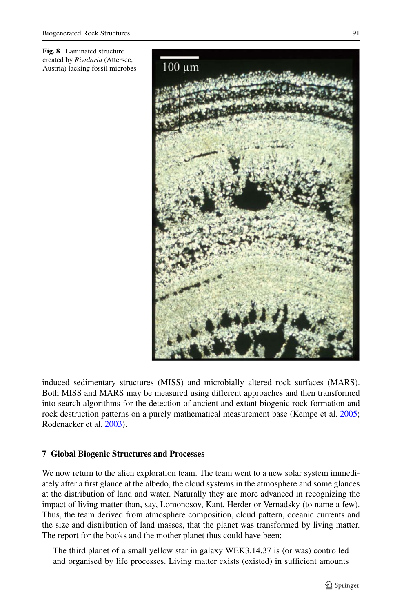**Fig. 8** Laminated structure created by *Rivularia* (Attersee, Austria) lacking fossil microbes

![](_page_10_Picture_2.jpeg)

induced sedimentary structures (MISS) and microbially altered rock surfaces (MARS). Both MISS and MARS may be measured using different approaches and then transformed into search algorithms for the detection of ancient and extant biogenic rock formation and rock destruction patterns on a purely mathematical measurement base (Kempe et al. [2005;](#page-12-0) Rodenacker et al. [2003](#page-12-0)).

### **7 Global Biogenic Structures and Processes**

We now return to the alien exploration team. The team went to a new solar system immediately after a first glance at the albedo, the cloud systems in the atmosphere and some glances at the distribution of land and water. Naturally they are more advanced in recognizing the impact of living matter than, say, Lomonosov, Kant, Herder or Vernadsky (to name a few). Thus, the team derived from atmosphere composition, cloud pattern, oceanic currents and the size and distribution of land masses, that the planet was transformed by living matter. The report for the books and the mother planet thus could have been:

<span id="page-10-0"></span>The third planet of a small yellow star in galaxy WEK3.14.37 is (or was) controlled and organised by life processes. Living matter exists (existed) in sufficient amounts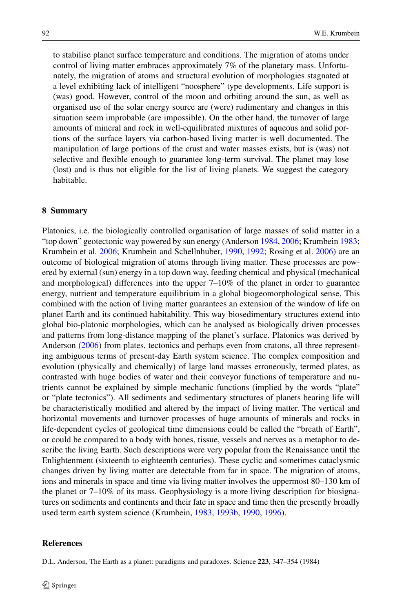to stabilise planet surface temperature and conditions. The migration of atoms under control of living matter embraces approximately 7% of the planetary mass. Unfortunately, the migration of atoms and structural evolution of morphologies stagnated at a level exhibiting lack of intelligent "noosphere" type developments. Life support is (was) good. However, control of the moon and orbiting around the sun, as well as organised use of the solar energy source are (were) rudimentary and changes in this situation seem improbable (are impossible). On the other hand, the turnover of large amounts of mineral and rock in well-equilibrated mixtures of aqueous and solid portions of the surface layers via carbon-based living matter is well documented. The manipulation of large portions of the crust and water masses exists, but is (was) not selective and flexible enough to guarantee long-term survival. The planet may lose (lost) and is thus not eligible for the list of living planets. We suggest the category habitable.

#### **8 Summary**

Platonics, i.e. the biologically controlled organisation of large masses of solid matter in a "top down" geotectonic way powered by sun energy (Anderson [1984](#page-11-0), [2006](#page-12-0); Krumbein [1983;](#page-12-0) Krumbein et al. [2006](#page-12-0); Krumbein and Schellnhuber, [1990](#page-12-0), [1992](#page-12-0); Rosing et al. [2006\)](#page-12-0) are an outcome of biological migration of atoms through living matter. These processes are powered by external (sun) energy in a top down way, feeding chemical and physical (mechanical and morphological) differences into the upper  $7-10\%$  of the planet in order to guarantee energy, nutrient and temperature equilibrium in a global biogeomorphological sense. This combined with the action of living matter guarantees an extension of the window of life on planet Earth and its continued habitability. This way biosedimentary structures extend into global bio-platonic morphologies, which can be analysed as biologically driven processes and patterns from long-distance mapping of the planet's surface. Platonics was derived by Anderson [\(2006](#page-12-0)) from plates, tectonics and perhaps even from cratons, all three representing ambiguous terms of present-day Earth system science. The complex composition and evolution (physically and chemically) of large land masses erroneously, termed plates, as contrasted with huge bodies of water and their conveyor functions of temperature and nutrients cannot be explained by simple mechanic functions (implied by the words "plate" or "plate tectonics"). All sediments and sedimentary structures of planets bearing life will be characteristically modified and altered by the impact of living matter. The vertical and horizontal movements and turnover processes of huge amounts of minerals and rocks in life-dependent cycles of geological time dimensions could be called the "breath of Earth", or could be compared to a body with bones, tissue, vessels and nerves as a metaphor to describe the living Earth. Such descriptions were very popular from the Renaissance until the Enlightenment (sixteenth to eighteenth centuries). These cyclic and sometimes cataclysmic changes driven by living matter are detectable from far in space. The migration of atoms, ions and minerals in space and time via living matter involves the uppermost 80–130 km of the planet or 7–10% of its mass. Geophysiology is a more living description for biosignatures on sediments and continents and their fate in space and time then the presently broadly used term earth system science (Krumbein, [1983,](#page-12-0) [1993b,](#page-12-0) [1990,](#page-12-0) [1996](#page-12-0)).

#### **References**

<span id="page-11-0"></span>D.L. Anderson, The Earth as a planet: paradigms and paradoxes. Science **223**, 347–354 (1984)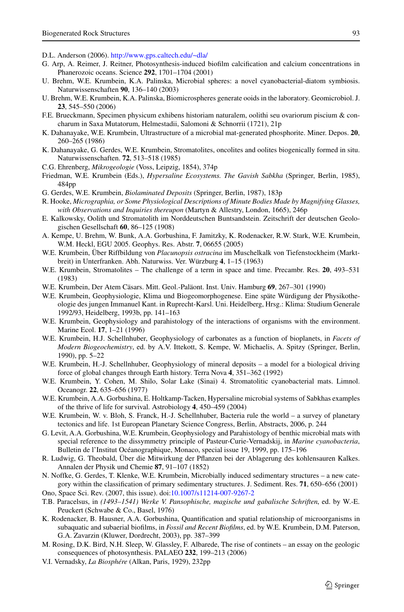- D.L. Anderson (2006). <http://www.gps.caltech.edu/~dla/>
- G. Arp, A. Reimer, J. Reitner, Photosynthesis-induced biofilm calcification and calcium concentrations in Phanerozoic oceans. Science **292**, 1701–1704 (2001)
- U. Brehm, W.E. Krumbein, K.A. Palinska, Microbial spheres: a novel cyanobacterial-diatom symbiosis. Naturwissenschaften **90**, 136–140 (2003)
- U. Brehm, W.E. Krumbein, K.A. Palinska, Biomicrospheres generate ooids in the laboratory. Geomicrobiol. J. **23**, 545–550 (2006)
- F.E. Brueckmann, Specimen physicum exhibens historiam naturalem, oolithi seu ovariorum piscium & concharum in Saxa Mutatorum, Helmestadii, Salomoni & Schnorrii (1721), 21p
- K. Dahanayake, W.E. Krumbein, Ultrastructure of a microbial mat-generated phosphorite. Miner. Depos. **20**, 260–265 (1986)
- K. Dahanayake, G. Gerdes, W.E. Krumbein, Stromatolites, oncolites and oolites biogenically formed in situ. Naturwissenschaften. **72**, 513–518 (1985)
- C.G. Ehrenberg, *Mikrogeologie* (Voss, Leipzig, 1854), 374p
- Friedman, W.E. Krumbein (Eds.), *Hypersaline Ecosystems. The Gavish Sabkha* (Springer, Berlin, 1985), 484pp
- G. Gerdes, W.E. Krumbein, *Biolaminated Deposits* (Springer, Berlin, 1987), 183p
- R. Hooke, *Micrographia, or Some Physiological Descriptions of Minute Bodies Made by Magnifying Glasses, with Observations and Inquiries thereupon* (Martyn & Allestry, London, 1665), 246p
- E. Kalkowsky, Oolith und Stromatolith im Norddeutschen Buntsandstein. Zeitschrift der deutschen Geologischen Gesellschaft **60**, 86–125 (1908)
- A. Kempe, U. Brehm, W. Bunk, A.A. Gorbushina, F. Jamitzky, K. Rodenacker, R.W. Stark, W.E. Krumbein, W.M. Heckl, EGU 2005. Geophys. Res. Abstr. **7**, 06655 (2005)
- W.E. Krumbein, Über Riffbildung von *Placunopsis ostracina* im Muschelkalk von Tiefenstockheim (Marktbreit) in Unterfranken. Abh. Naturwiss. Ver. Würzburg **4**, 1–15 (1963)
- W.E. Krumbein, Stromatolites The challenge of a term in space and time. Precambr. Res. **20**, 493–531 (1983)
- W.E. Krumbein, Der Atem Cäsars. Mitt. Geol.-Paläont. Inst. Univ. Hamburg **69**, 267–301 (1990)
- W.E. Krumbein, Geophysiologie, Klima und Biogeomorphogenese. Eine späte Würdigung der Physikotheologie des jungen Immanuel Kant. in Ruprecht-Karsl. Uni. Heidelberg, Hrsg.: Klima: Studium Generale 1992/93, Heidelberg, 1993b, pp. 141–163
- W.E. Krumbein, Geophysiology and parahistology of the interactions of organisms with the environment. Marine Ecol. **17**, 1–21 (1996)
- W.E. Krumbein, H.J. Schellnhuber, Geophysiology of carbonates as a function of bioplanets, in *Facets of Modern Biogeochemistry*, ed. by A.V. Ittekott, S. Kempe, W. Michaelis, A. Spitzy (Springer, Berlin, 1990), pp. 5–22
- W.E. Krumbein, H.-J. Schellnhuber, Geophysiology of mineral deposits a model for a biological driving force of global changes through Earth history. Terra Nova **4**, 351–362 (1992)
- W.E. Krumbein, Y. Cohen, M. Shilo, Solar Lake (Sinai) 4. Stromatolitic cyanobacterial mats. Limnol. Oceanogr. **22**, 635–656 (1977)
- W.E. Krumbein, A.A. Gorbushina, E. Holtkamp-Tacken, Hypersaline microbial systems of Sabkhas examples of the thrive of life for survival. Astrobiology **4**, 450–459 (2004)
- W.E. Krumbein, W. v. Bloh, S. Franck, H.-J. Schellnhuber, Bacteria rule the world a survey of planetary tectonics and life. 1st European Planetary Science Congress, Berlin, Abstracts, 2006, p. 244
- G. Levit, A.A. Gorbushina, W.E. Krumbein, Geophysiology and Parahistology of benthic microbial mats with special reference to the dissymmetry principle of Pasteur-Curie-Vernadskij, in *Marine cyanobacteria*, Bulletin de l'Institut Océanographique, Monaco, special issue 19, 1999, pp. 175–196
- R. Ludwig, G. Theobald, Über die Mitwirkung der Pflanzen bei der Ablagerung des kohlensauren Kalkes. Annalen der Physik und Chemie **87**, 91–107 (1852)
- N. Noffke, G. Gerdes, T. Klenke, W.E. Krumbein, Microbially induced sedimentary structures a new category within the classification of primary sedimentary structures. J. Sediment. Res. **71**, 650–656 (2001) Ono, Space Sci. Rev. (2007, this issue). doi:[10.1007/s11214-007-9267-2](http://dx.doi.org/10.1007/s11214-007-9267-2)
- T.B. Paracelsus, in *(1493–1541) Werke V. Pansophische, magische und gabalische Schriften*, ed. by W.-E. Peuckert (Schwabe & Co., Basel, 1976)
- K. Rodenacker, B. Hausner, A.A. Gorbushina, Quantification and spatial relationship of microorganisms in subaquatic and subaerial biofilms, in *Fossil and Recent Biofilms*, ed. by W.E. Krumbein, D.M. Paterson, G.A. Zavarzin (Kluwer, Dordrecht, 2003), pp. 387–399
- M. Rosing, D.K. Bird, N.H. Sleep, W. Glassley, F. Albarede, The rise of continets an essay on the geologic consequences of photosynthesis. PALAEO **232**, 199–213 (2006)
- <span id="page-12-0"></span>V.I. Vernadsky, *La Biosphére* (Alkan, Paris, 1929), 232pp